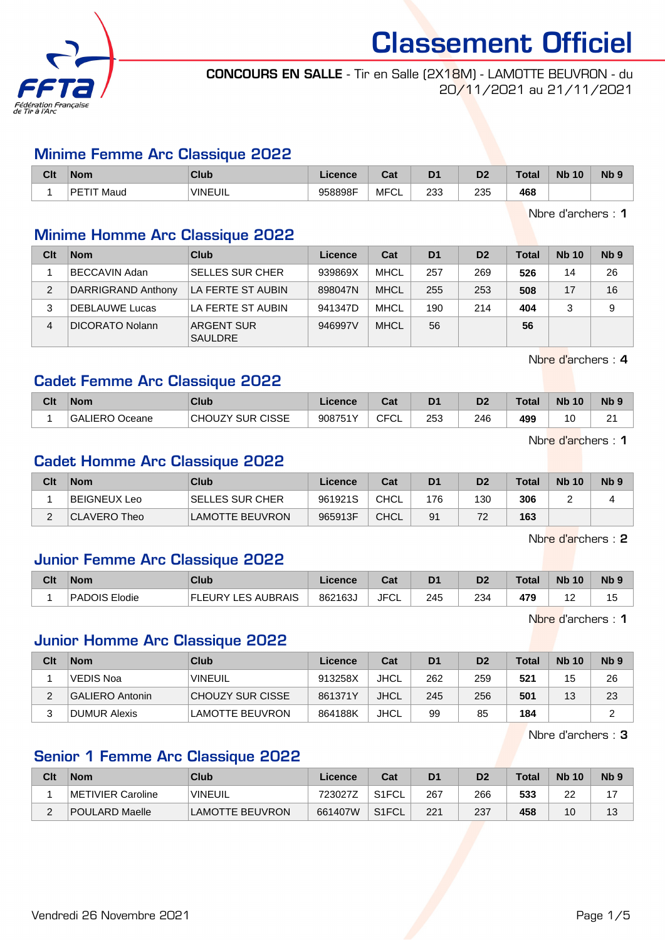

CONCOURS EN SALLE - Tir en Salle (2X18M) - LAMOTTE BEUVRON - du 20/11/2021 au 21/11/2021

#### Minime Femme Arc Classique 2022

| Clt | <b>Nom</b>      | Club           | Licence | <b>Total</b><br>ua | D1         | D <sub>o</sub><br>ש | F<br>υισ | <b>Nb</b><br>10 | N <sub>b</sub> |
|-----|-----------------|----------------|---------|--------------------|------------|---------------------|----------|-----------------|----------------|
|     | РF<br>Maud<br>H | <b>VINEUIL</b> | 958898F | <b>MFCL</b>        | פ פ<br>ںں∠ | 235                 | 468      |                 |                |

Nbre d'archers : 1

## Minime Homme Arc Classique 2022

| Clt | <b>Nom</b>             | Club                                | Licence | Cat         | D <sub>1</sub> | D <sub>2</sub> | Total | <b>Nb 10</b> | N <sub>b</sub> <sub>9</sub> |
|-----|------------------------|-------------------------------------|---------|-------------|----------------|----------------|-------|--------------|-----------------------------|
|     | <b>BECCAVIN Adan</b>   | <b>SELLES SUR CHER</b>              | 939869X | MHCL        | 257            | 269            | 526   | 14           | 26                          |
| 2   | DARRIGRAND Anthony     | LA FERTE ST AUBIN                   | 898047N | <b>MHCL</b> | 255            | 253            | 508   | 17           | 16                          |
|     | <b>DEBLAUWE Lucas</b>  | LA FERTE ST AUBIN                   | 941347D | MHCL        | 190            | 214            | 404   |              | 9                           |
| 4   | <b>DICORATO Nolann</b> | <b>ARGENT SUR</b><br><b>SAULDRE</b> | 946997V | <b>MHCL</b> | 56             |                | 56    |              |                             |

Nbre d'archers : 4

## Cadet Femme Arc Classique 2022

| Clt | <b>Nom</b>                            | <b>Club</b>             | Licence | והיה<br>val        | D <sub>1</sub> | D2  | Total | <b>Nb 10</b> | N <sub>b</sub> |
|-----|---------------------------------------|-------------------------|---------|--------------------|----------------|-----|-------|--------------|----------------|
|     | <b>GALIERO</b><br><sup>®</sup> Oceane | <b>CHOUZY SUR CISSE</b> | 908751Y | <b>CFCI</b><br>ั∪∟ | 253            | 246 | 499   | 10<br>ັ      | ົ<br>-         |

Nbre d'archers : 1

#### Cadet Homme Arc Classique 2022

| Clt | <b>Nom</b>   | Club                    | ∟icence | Cat         | D <sub>1</sub> | D <sub>2</sub> | <b>Total</b> | <b>Nb 10</b> | Nb <sub>9</sub> |
|-----|--------------|-------------------------|---------|-------------|----------------|----------------|--------------|--------------|-----------------|
|     | BEIGNEUX Leo | <b>ISELLES SUR CHER</b> | 961921S | <b>CHCL</b> | 176            | 130            | 306          | -            |                 |
|     | CLAVERO Theo | <b>LAMOTTE BEUVRON</b>  | 965913F | <b>CHCL</b> | 91             | 72             | 163          |              |                 |

Nbre d'archers : 2

## Junior Femme Arc Classique 2022

| Clt | <b>Nom</b>    | <b>Club</b>        | Licence | Pot.<br>ual | D <sub>1</sub> | D <sub>2</sub> | <b>Total</b> | <b>Nb</b><br>10 <sup>°</sup> | N <sub>b</sub> <sub>9</sub> |
|-----|---------------|--------------------|---------|-------------|----------------|----------------|--------------|------------------------------|-----------------------------|
|     | PADOIS Elodie | ∟ES AUBRAIS<br>다 드 | 862163  | <b>JFCL</b> | 245<br>$\sim$  | 234            | 479<br>__    | . .                          | . .<br>ιJ                   |

Nbre d'archers : 1

#### Junior Homme Arc Classique 2022

| Clt | <b>Nom</b>      | Club                   | Licence | Cat         | D <sub>1</sub> | D <sub>2</sub> | <b>Total</b> | <b>Nb 10</b> | Nb <sub>9</sub> |
|-----|-----------------|------------------------|---------|-------------|----------------|----------------|--------------|--------------|-----------------|
|     | VEDIS Noa       | <b>VINEUIL</b>         | 913258X | <b>JHCL</b> | 262            | 259            | 521          | 15           | 26              |
|     | GALIERO Antonin | CHOUZY SUR CISSE       | 861371Y | <b>JHCL</b> | 245            | 256            | 501          | 13           | 23              |
|     | DUMUR Alexis    | <b>LAMOTTE BEUVRON</b> | 864188K | JHCL        | 99             | 85             | 184          |              | ົ               |

Nbre d'archers : 3

#### Senior 1 Femme Arc Classique 2022

| Clt | Nom               | Club                  | Licence | Cat   | D <sub>1</sub> |     | Total | <b>Nb 10</b> | N <sub>b</sub> <sub>9</sub> |
|-----|-------------------|-----------------------|---------|-------|----------------|-----|-------|--------------|-----------------------------|
|     | METIVIER Caroline | <b>VINEUIL</b>        | 723027Z | S1FCL | 267            | 266 | 533   | oc<br>ے      |                             |
| -   | POULARD Maelle    | <b>AMOTTE BEUVRON</b> | 661407W | S1FCL | 221            | 237 | 458   | 10           |                             |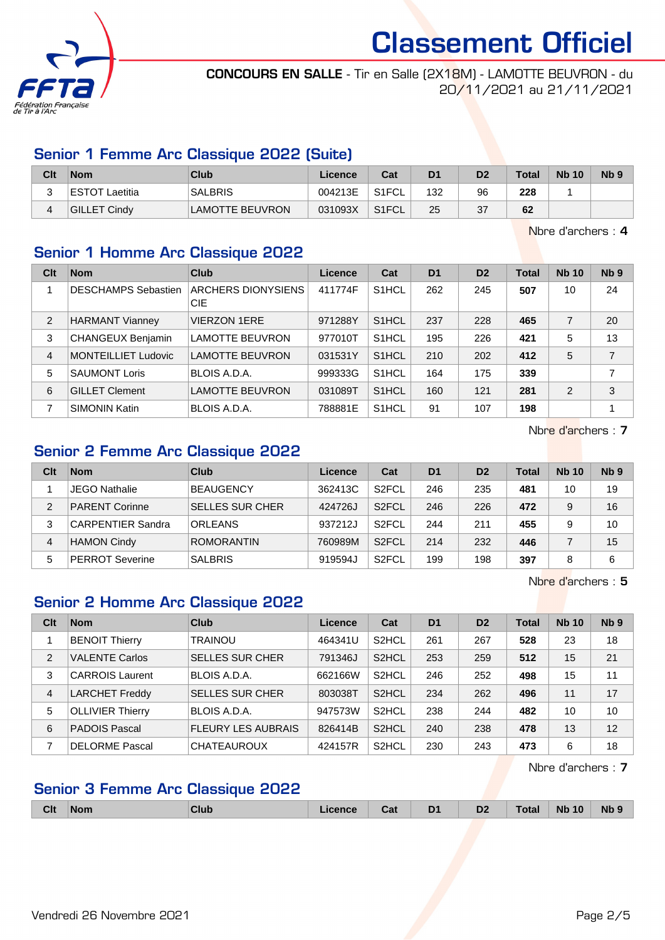

CONCOURS EN SALLE - Tir en Salle (2X18M) - LAMOTTE BEUVRON - du 20/11/2021 au 21/11/2021

## Senior 1 Femme Arc Classique 2022 (Suite)

| Clt | <b>Nom</b>            | Club                   | Licence | Cat                | D <sub>1</sub> | D <sub>2</sub> | <b>Total</b> | <b>Nb 10</b> | N <sub>b</sub> <sub>9</sub> |
|-----|-----------------------|------------------------|---------|--------------------|----------------|----------------|--------------|--------------|-----------------------------|
|     | <b>ESTOT Laetitia</b> | <b>SALBRIS</b>         | 004213E | ` S1FCL_           | 132            | 96             | 228          |              |                             |
|     | GILLET Cindy          | <b>LAMOTTE BEUVRON</b> | 031093X | S <sub>1</sub> FCL | 25             | 37             | 62           |              |                             |

Nbre d'archers : 4

## Senior 1 Homme Arc Classique 2022

| Clt            | <b>Nom</b>                 | <b>Club</b>                      | Licence | Cat                | D <sub>1</sub> | D <sub>2</sub> | <b>Total</b> | <b>Nb 10</b>  | N <sub>b</sub> <sub>9</sub> |
|----------------|----------------------------|----------------------------------|---------|--------------------|----------------|----------------|--------------|---------------|-----------------------------|
|                | <b>DESCHAMPS Sebastien</b> | ARCHERS DIONYSIENS<br><b>CIE</b> | 411774F | S <sub>1</sub> HCL | 262            | 245            | 507          | 10            | 24                          |
| 2              | <b>HARMANT Vianney</b>     | <b>VIERZON 1ERE</b>              | 971288Y | S <sub>1</sub> HCL | 237            | 228            | 465          |               | 20                          |
| 3              | <b>CHANGEUX Benjamin</b>   | <b>LAMOTTE BEUVRON</b>           | 977010T | S <sub>1</sub> HCL | 195            | 226            | 421          | 5             | 13                          |
| $\overline{4}$ | <b>MONTEILLIET Ludovic</b> | LAMOTTE BEUVRON                  | 031531Y | S <sub>1</sub> HCL | 210            | 202            | 412          | 5             | $\overline{7}$              |
| 5              | <b>SAUMONT Loris</b>       | BLOIS A.D.A.                     | 999333G | S <sub>1</sub> HCL | 164            | 175            | 339          |               | 7                           |
| 6              | <b>GILLET Clement</b>      | <b>LAMOTTE BEUVRON</b>           | 031089T | S <sub>1</sub> HCL | 160            | 121            | 281          | $\mathcal{P}$ | 3                           |
|                | <b>SIMONIN Katin</b>       | BLOIS A.D.A.                     | 788881E | S <sub>1</sub> HCL | 91             | 107            | 198          |               |                             |

Nbre d'archers : 7

## Senior 2 Femme Arc Classique 2022

| Clt | <b>Nom</b>               | Club                   | Licence | Cat                | D <sub>1</sub> | D <sub>2</sub> | Total | <b>Nb 10</b> | Nb <sub>9</sub> |
|-----|--------------------------|------------------------|---------|--------------------|----------------|----------------|-------|--------------|-----------------|
|     | <b>JEGO Nathalie</b>     | <b>BEAUGENCY</b>       | 362413C | S <sub>2</sub> FCL | 246            | 235            | 481   | 10           | 19              |
| 2   | <b>PARENT Corinne</b>    | <b>SELLES SUR CHER</b> | 424726J | S <sub>2</sub> FCL | 246            | 226            | 472   | 9            | 16              |
| 3   | <b>CARPENTIER Sandra</b> | <b>ORLEANS</b>         | 937212J | S <sub>2</sub> FCL | 244            | 211            | 455   | 9            | 10              |
| 4   | <b>HAMON Cindy</b>       | <b>ROMORANTIN</b>      | 760989M | S <sub>2</sub> FCL | 214            | 232            | 446   |              | 15              |
| 5   | <b>PERROT Severine</b>   | <b>SALBRIS</b>         | 919594J | S <sub>2</sub> FCL | 199            | 198            | 397   |              | 6               |

Nbre d'archers : 5

## Senior 2 Homme Arc Classique 2022

| Clt            | <b>Nom</b>              | Club                      | Licence | Cat                | D <sub>1</sub> | D <sub>2</sub> | <b>Total</b> | <b>Nb 10</b> | N <sub>b</sub> <sub>9</sub> |
|----------------|-------------------------|---------------------------|---------|--------------------|----------------|----------------|--------------|--------------|-----------------------------|
|                | <b>BENOIT Thierry</b>   | <b>TRAINOU</b>            | 464341U | S <sub>2</sub> HCL | 261            | 267            | 528          | 23           | 18                          |
| 2              | <b>VALENTE Carlos</b>   | <b>SELLES SUR CHER</b>    | 791346J | S <sub>2</sub> HCL | 253            | 259            | 512          | 15           | 21                          |
| 3              | <b>CARROIS Laurent</b>  | BLOIS A.D.A.              | 662166W | S <sub>2</sub> HCL | 246            | 252            | 498          | 15           | 11                          |
| $\overline{4}$ | <b>LARCHET Freddy</b>   | <b>SELLES SUR CHER</b>    | 803038T | S <sub>2</sub> HCL | 234            | 262            | 496          | 11           | 17                          |
| 5              | <b>OLLIVIER Thierry</b> | BLOIS A.D.A.              | 947573W | S <sub>2</sub> HCL | 238            | 244            | 482          | 10           | 10                          |
| 6              | <b>PADOIS Pascal</b>    | <b>FLEURY LES AUBRAIS</b> | 826414B | S <sub>2</sub> HCL | 240            | 238            | 478          | 13           | 12                          |
|                | <b>DELORME Pascal</b>   | <b>CHATEAUROUX</b>        | 424157R | S <sub>2</sub> HCL | 230            | 243            | 473          | 6            | 18                          |

Nbre d'archers : 7

## Senior 3 Femme Arc Classique 2022

|  | Clt | <b>Nom</b> | Club | icence | Cat | D <sub>1</sub> | D <sub>2</sub> | Total | <b>Nb 10</b> | <b>Nb</b> |  |
|--|-----|------------|------|--------|-----|----------------|----------------|-------|--------------|-----------|--|
|--|-----|------------|------|--------|-----|----------------|----------------|-------|--------------|-----------|--|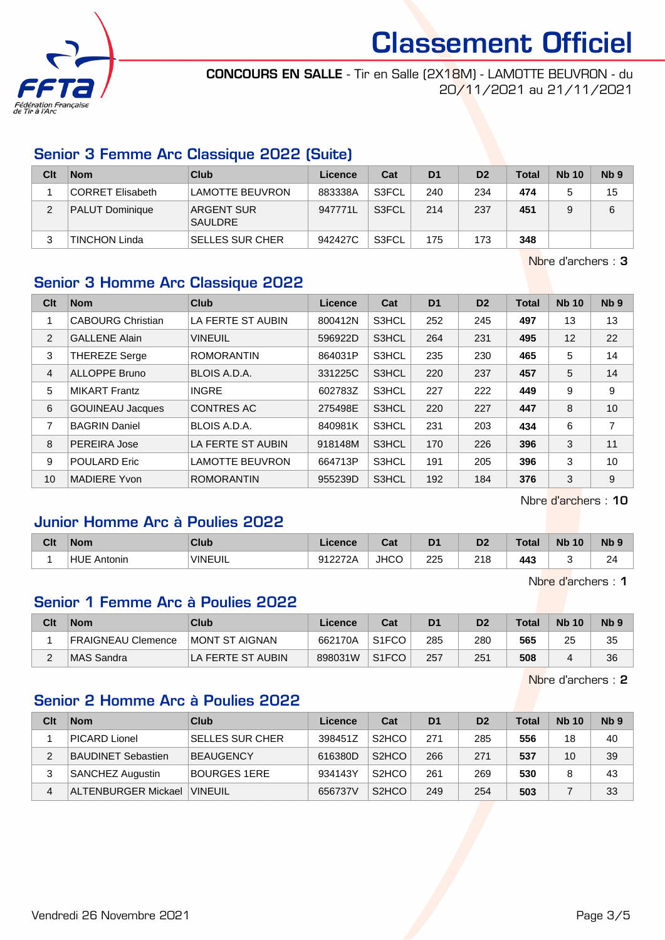

CONCOURS EN SALLE - Tir en Salle (2X18M) - LAMOTTE BEUVRON - du 20/11/2021 au 21/11/2021

## Senior 3 Femme Arc Classique 2022 (Suite)

| Clt | <b>Nom</b>              | Club                                | Licence | Cat   | D <sub>1</sub> | D <sub>2</sub> | <b>Total</b> | <b>Nb 10</b> | N <sub>b</sub> <sub>9</sub> |
|-----|-------------------------|-------------------------------------|---------|-------|----------------|----------------|--------------|--------------|-----------------------------|
|     | <b>CORRET Elisabeth</b> | 'LAMOTTE BEUVRON                    | 883338A | S3FCL | 240            | 234            | 474          |              | 15                          |
| 2   | PALUT Dominique         | <b>ARGENT SUR</b><br><b>SAULDRE</b> | 947771L | S3FCL | 214            | 237            | 451          |              | 6                           |
| ◠   | <b>TINCHON Linda</b>    | <b>SELLES SUR CHER</b>              | 942427C | S3FCL | 175            | 173            | 348          |              |                             |

Nbre d'archers : 3

## Senior 3 Homme Arc Classique 2022

| Clt            | <b>Nom</b>               | <b>Club</b>            | <b>Licence</b> | Cat   | D <sub>1</sub> | D <sub>2</sub> | <b>Total</b> | <b>Nb 10</b> | N <sub>b</sub> <sub>9</sub> |
|----------------|--------------------------|------------------------|----------------|-------|----------------|----------------|--------------|--------------|-----------------------------|
| 1              | <b>CABOURG Christian</b> | LA FERTE ST AUBIN      | 800412N        | S3HCL | 252            | 245            | 497          | 13           | 13                          |
| $\overline{2}$ | <b>GALLENE Alain</b>     | <b>VINEUIL</b>         | 596922D        | S3HCL | 264            | 231            | 495          | 12           | 22                          |
| 3              | <b>THEREZE Serge</b>     | <b>ROMORANTIN</b>      | 864031P        | S3HCL | 235            | 230            | 465          | 5            | 14                          |
| 4              | <b>ALLOPPE Bruno</b>     | BLOIS A.D.A.           | 331225C        | S3HCL | 220            | 237            | 457          | 5            | 14                          |
| 5              | <b>MIKART Frantz</b>     | <b>INGRE</b>           | 602783Z        | S3HCL | 227            | 222            | 449          | 9            | 9                           |
| 6              | <b>GOUINEAU Jacques</b>  | <b>CONTRES AC</b>      | 275498E        | S3HCL | 220            | 227            | 447          | 8            | 10                          |
| 7              | <b>BAGRIN Daniel</b>     | BLOIS A.D.A.           | 840981K        | S3HCL | 231            | 203            | 434          | 6            | $\overline{7}$              |
| 8              | PEREIRA Jose             | LA FERTE ST AUBIN      | 918148M        | S3HCL | 170            | 226            | 396          | 3            | 11                          |
| 9              | <b>POULARD Eric</b>      | <b>LAMOTTE BEUVRON</b> | 664713P        | S3HCL | 191            | 205            | 396          | 3            | 10                          |
| 10             | <b>MADIERE Yvon</b>      | <b>ROMORANTIN</b>      | 955239D        | S3HCL | 192            | 184            | 376          | 3            | 9                           |

Nbre d'archers : 10

## Junior Homme Arc à Poulies 2022

| Clt | <b>Nom</b>            | <b>Club</b> | ∠icence | $R_{\rm{eff}}$<br>ual | D <sub>1</sub> | n <sub>o</sub><br>ש | Total | <b>N<sub>b</sub></b><br>10 | N <sub>b</sub> 9 |
|-----|-----------------------|-------------|---------|-----------------------|----------------|---------------------|-------|----------------------------|------------------|
|     | <b>HUE</b><br>Antonin | 'VINEUIL    | 912272A | <b>JHCO</b>           | 225            | 218                 | 443   |                            | $\sim$<br>24     |

Nbre d'archers : 1

#### Senior 1 Femme Arc à Poulies 2022

| Clt | <b>Nom</b>         | Club                   | Licence | Cat                | D <sub>1</sub> |     | Total | <b>Nb 10</b> | Nb <sub>9</sub> |
|-----|--------------------|------------------------|---------|--------------------|----------------|-----|-------|--------------|-----------------|
|     | FRAIGNEAU Clemence | <b>IMONT ST AIGNAN</b> | 662170A | S <sub>1</sub> FCO | 285            | 280 | 565   | 25           | 35              |
|     | ∣MAS Sandra        | LA FERTE ST AUBIN      | 898031W | S <sub>1</sub> FCO | 257            | 251 | 508   |              | 36              |

Nbre d'archers : 2

#### Senior 2 Homme Arc à Poulies 2022

| Clt | <b>Nom</b>                 | Club                   | Licence | Cat                             | D <sub>1</sub> | D <sub>2</sub> | Total | <b>Nb 10</b> | N <sub>b</sub> <sub>9</sub> |
|-----|----------------------------|------------------------|---------|---------------------------------|----------------|----------------|-------|--------------|-----------------------------|
|     | PICARD Lionel              | <b>SELLES SUR CHER</b> | 398451Z | S <sub>2</sub> H <sub>C</sub> O | 271            | 285            | 556   | 18           | 40                          |
| 2   | <b>BAUDINET Sebastien</b>  | <b>BEAUGENCY</b>       | 616380D | S <sub>2</sub> HCO              | 266            | 271            | 537   | 10           | 39                          |
| 3   | <b>SANCHEZ Augustin</b>    | <b>BOURGES 1ERE</b>    | 934143Y | S <sub>2</sub> HCO              | 261            | 269            | 530   | 8            | 43                          |
| 4   | <b>ALTENBURGER Mickael</b> | <b>VINEUIL</b>         | 656737V | S <sub>2</sub> H <sub>C</sub> O | 249            | 254            | 503   |              | 33                          |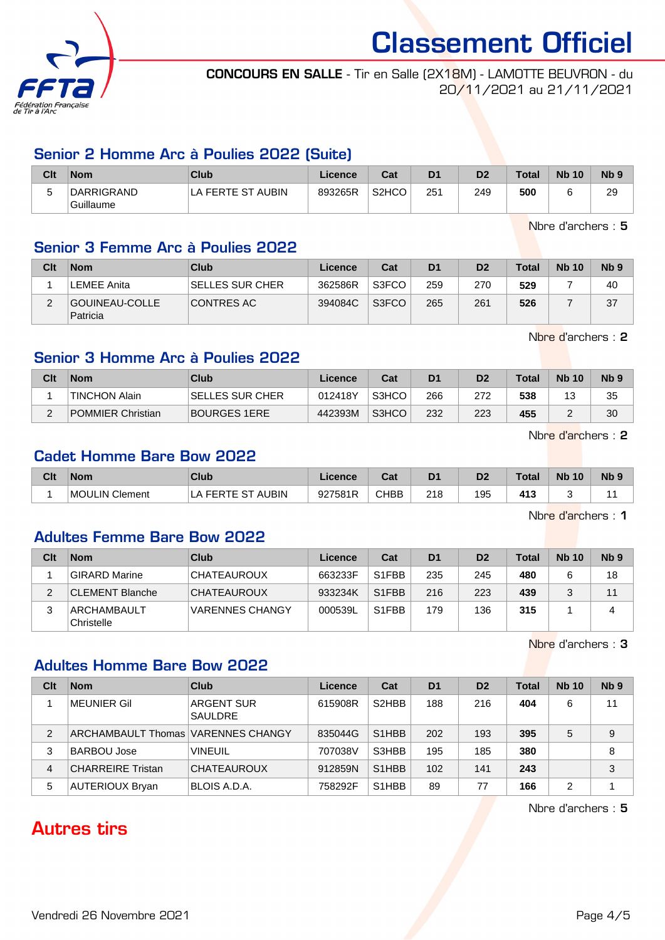

CONCOURS EN SALLE - Tir en Salle (2X18M) - LAMOTTE BEUVRON - du 20/11/2021 au 21/11/2021

#### Senior 2 Homme Arc à Poulies 2022 (Suite)

| Clt | <b>Nom</b>              | Club              | Licence | Cat                | D <sub>1</sub> | D2  | <b>Total</b> | <b>Nb 10</b> | N <sub>b</sub> <sub>9</sub> |
|-----|-------------------------|-------------------|---------|--------------------|----------------|-----|--------------|--------------|-----------------------------|
| ັ   | DARRIGRAND<br>Guillaume | LA FERTE ST AUBIN | 893265R | S <sub>2</sub> HCO | 251            | 249 | 500          |              | 29                          |

Nbre d'archers : 5

## Senior 3 Femme Arc à Poulies 2022

| Clt | <b>Nom</b>                 | Club                   | Licence | Cat   | D <sub>1</sub> | D <sub>2</sub> | Total | <b>Nb 10</b> | N <sub>b</sub> <sub>9</sub> |
|-----|----------------------------|------------------------|---------|-------|----------------|----------------|-------|--------------|-----------------------------|
|     | LEMEE Anita                | <b>SELLES SUR CHER</b> | 362586R | S3FCO | 259            | 270            | 529   |              | 40                          |
|     | GOUINEAU-COLLE<br>Patricia | CONTRES AC             | 394084C | S3FCO | 265            | 261            | 526   |              | 37                          |

Nbre d'archers : 2

## Senior 3 Homme Arc à Poulies 2022

| Clt | <b>Nom</b>           | Club             | Licence | Cat   | D <sub>1</sub> | D <sub>2</sub> | Total | <b>Nb 10</b> | N <sub>b</sub> <sub>9</sub> |
|-----|----------------------|------------------|---------|-------|----------------|----------------|-------|--------------|-----------------------------|
|     | <b>TINCHON Alain</b> | ∣SELLES SUR CHER | 012418Y | S3HCO | 266            | 272            | 538   |              | 35                          |
| C   | POMMIER Christian    | BOURGES 1ERE     | 442393M | S3HCO | 232            | 223            | 455   |              | 30                          |

Nbre d'archers : 2

Nbre d'archers : 1

#### Cadet Homme Bare Bow 2022

| Clt | <b>Nom</b>               | Club                | .icence | ∼⊷<br>⊍a.   | D1        | D2  | Total                         | <b>Nb</b><br>10 | <b>Nb</b> |
|-----|--------------------------|---------------------|---------|-------------|-----------|-----|-------------------------------|-----------------|-----------|
|     | Clement<br><b>MOULIN</b> | <b>AUBIN</b><br>--- | 927581R | <b>CHBB</b> | 218<br>__ | 195 | 41 <sup>o</sup><br><br>$\sim$ |                 |           |

Adultes Femme Bare Bow 2022

| Clt | <b>Nom</b>                | Club                   | Licence | Cat                | D <sub>1</sub> | D <sub>2</sub> | <b>Total</b> | <b>Nb 10</b> | N <sub>b</sub> <sub>9</sub> |
|-----|---------------------------|------------------------|---------|--------------------|----------------|----------------|--------------|--------------|-----------------------------|
|     | <b>GIRARD Marine</b>      | CHATEAUROUX            | 663233F | S <sub>1</sub> FBB | 235            | 245            | 480          | 6            | 18                          |
|     | CLEMENT Blanche           | CHATEAUROUX            | 933234K | S <sub>1</sub> FBB | 216            | 223            | 439          | 2            | 11                          |
|     | ARCHAMBAULT<br>Christelle | <b>VARENNES CHANGY</b> | 000539L | S <sub>1</sub> FBB | 179            | 136            | 315          |              | 4                           |

Nbre d'archers : 3

#### Adultes Homme Bare Bow 2022

| Clt | <b>Nom</b>                         | Club                         | Licence | Cat                            | D <sub>1</sub> | D <sub>2</sub> | Total | <b>Nb</b> 10 | Nb <sub>9</sub> |
|-----|------------------------------------|------------------------------|---------|--------------------------------|----------------|----------------|-------|--------------|-----------------|
|     | MEUNIER Gil                        | ARGENT SUR<br><b>SAULDRE</b> | 615908R | S <sub>2</sub> HBB             | 188            | 216            | 404   | 6            | 11              |
| 2   | ARCHAMBAULT Thomas VARENNES CHANGY |                              | 835044G | S <sub>1</sub> H <sub>BB</sub> | 202            | 193            | 395   | 5            | 9               |
| 3   | BARBOU Jose                        | <b>VINEUIL</b>               | 707038V | S3HBB                          | 195            | 185            | 380   |              | 8               |
| 4   | <b>CHARREIRE Tristan</b>           | <b>CHATEAUROUX</b>           | 912859N | S <sub>1</sub> H <sub>BB</sub> | 102            | 141            | 243   |              | 3               |
| 5   | <b>AUTERIOUX Bryan</b>             | BLOIS A.D.A.                 | 758292F | S <sub>1</sub> H <sub>BB</sub> | 89             | 77             | 166   |              |                 |

Nbre d'archers : 5

# Autres tirs